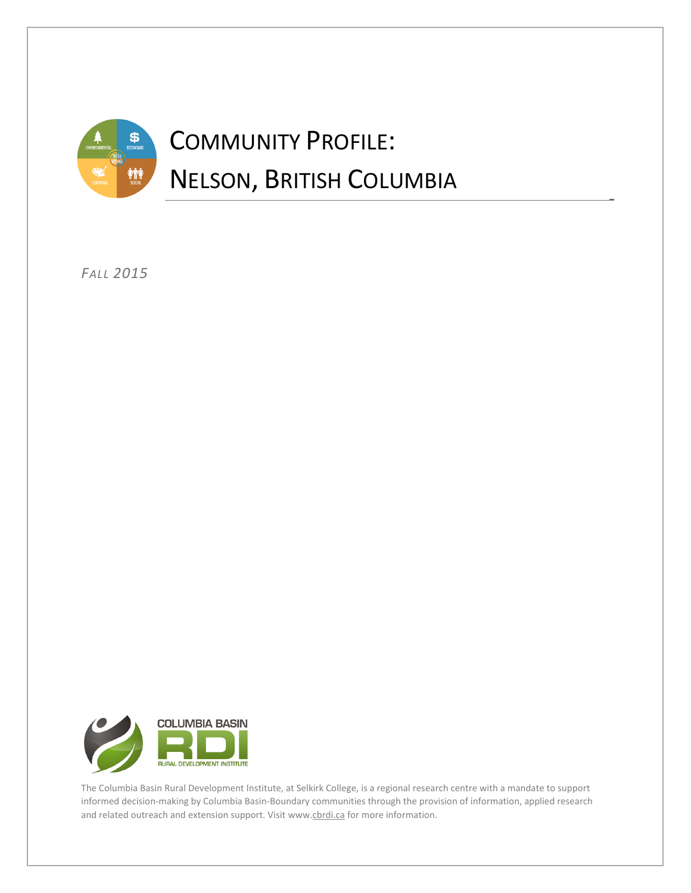

*FALL 2015*



The Columbia Basin Rural Development Institute, at Selkirk College, is a regional research centre with a mandate to support informed decision-making by Columbia Basin-Boundary communities through the provision of information, applied research and related outreach and extension support. Visi[t www.cbrdi.ca](http://www.cbrdi.ca/) for more information.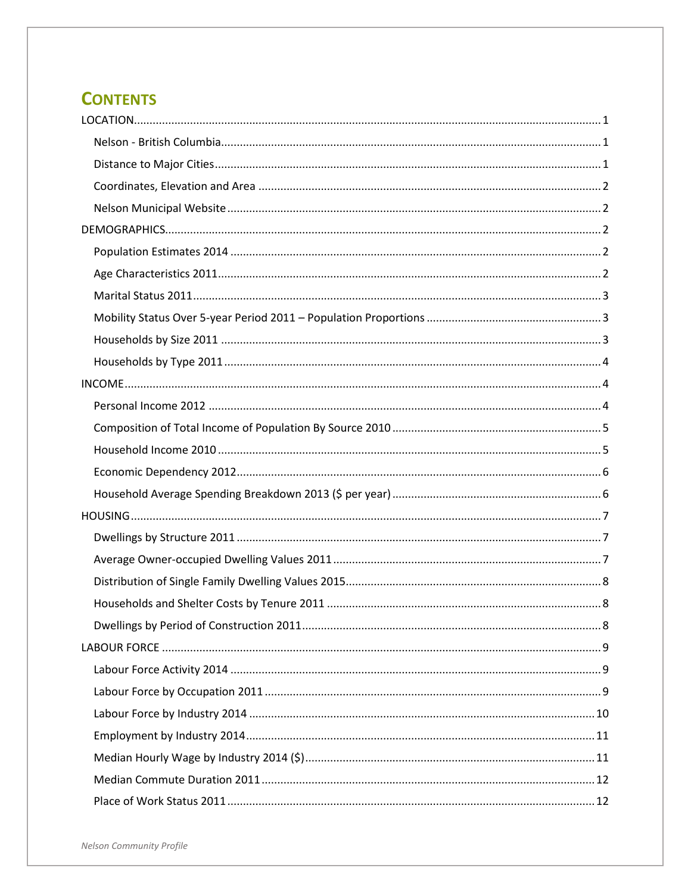# **CONTENTS**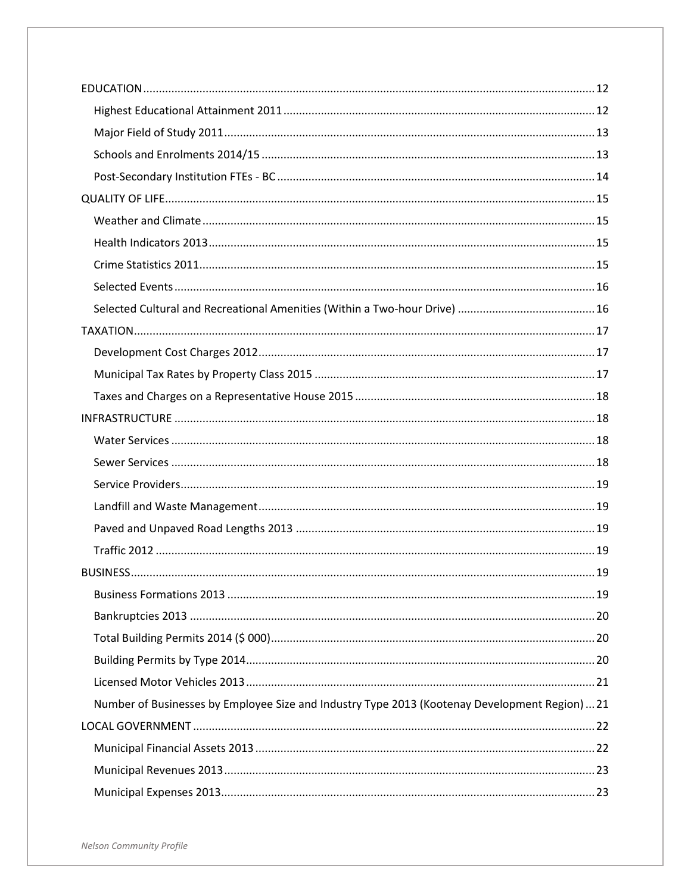| Number of Businesses by Employee Size and Industry Type 2013 (Kootenay Development Region)21 |  |
|----------------------------------------------------------------------------------------------|--|
|                                                                                              |  |
|                                                                                              |  |
|                                                                                              |  |
|                                                                                              |  |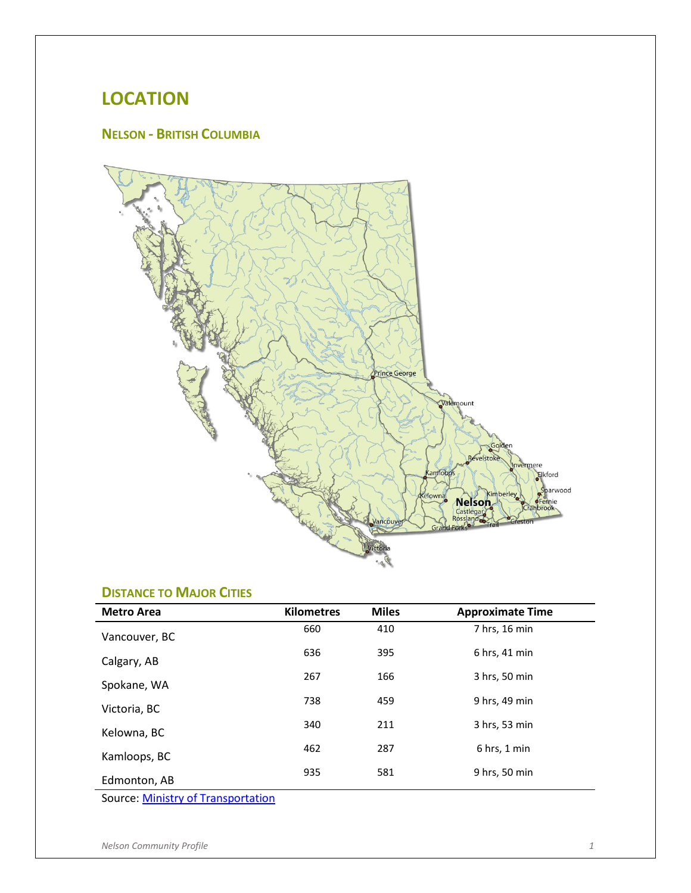# <span id="page-3-0"></span>**LOCATION**

## <span id="page-3-1"></span>**NELSON - BRITISH COLUMBIA**



## <span id="page-3-2"></span>**DISTANCE TO MAJOR CITIES**

| <b>Metro Area</b> | <b>Kilometres</b> | <b>Miles</b> | <b>Approximate Time</b> |
|-------------------|-------------------|--------------|-------------------------|
| Vancouver, BC     | 660               | 410          | 7 hrs, 16 min           |
| Calgary, AB       | 636               | 395          | 6 hrs, 41 min           |
| Spokane, WA       | 267               | 166          | 3 hrs, 50 min           |
| Victoria, BC      | 738               | 459          | 9 hrs, 49 min           |
| Kelowna, BC       | 340               | 211          | 3 hrs, 53 min           |
| Kamloops, BC      | 462               | 287          | $6$ hrs, 1 min          |
| Edmonton, AB      | 935               | 581          | 9 hrs, 50 min           |

Source: [Ministry of Transportation](http://drivebc.ca/directions.html)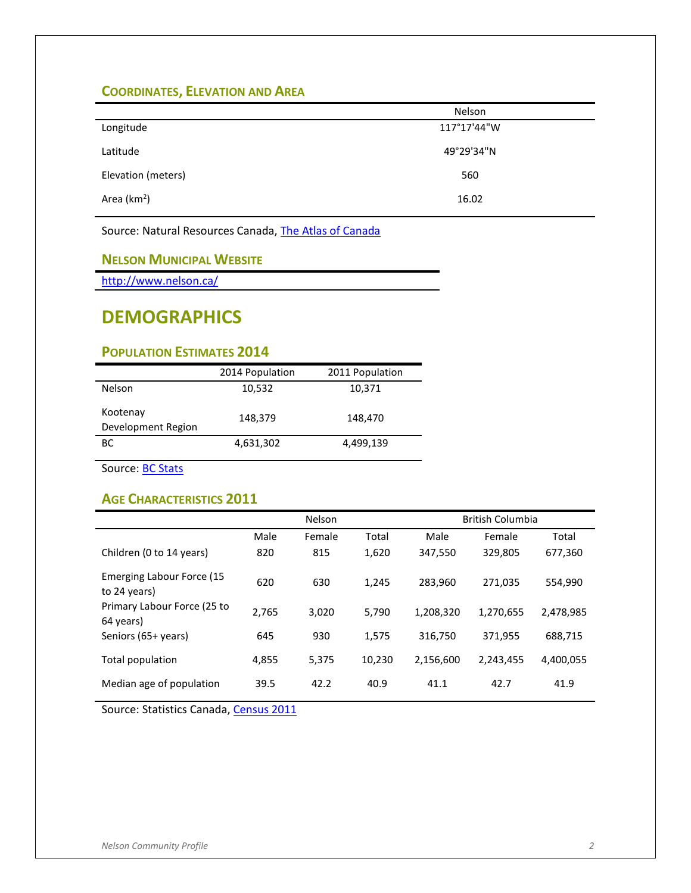## <span id="page-4-0"></span>**COORDINATES, ELEVATION AND AREA**

|                    | Nelson      |
|--------------------|-------------|
| Longitude          | 117°17'44"W |
| Latitude           | 49°29'34"N  |
| Elevation (meters) | 560         |
| Area ( $km2$ )     | 16.02       |

Source: Natural Resources Canada[, The Atlas of Canada](http://atlas.nrcan.gc.ca/site/english/index.html)

#### <span id="page-4-1"></span>**NELSON MUNICIPAL WEBSITE**

<http://www.nelson.ca/>

# <span id="page-4-2"></span>**DEMOGRAPHICS**

## <span id="page-4-3"></span>**POPULATION ESTIMATES 2014**

|                                | 2014 Population | 2011 Population |
|--------------------------------|-----------------|-----------------|
| <b>Nelson</b>                  | 10,532          | 10,371          |
| Kootenay<br>Development Region | 148,379         | 148,470         |
| BС                             | 4,631,302       | 4,499,139       |

Source: **BC Stats** 

#### <span id="page-4-4"></span>**AGE CHARACTERISTICS 2011**

|                                           | Nelson |        | <b>British Columbia</b> |           |           |           |
|-------------------------------------------|--------|--------|-------------------------|-----------|-----------|-----------|
|                                           | Male   | Female | Total                   | Male      | Female    | Total     |
| Children (0 to 14 years)                  | 820    | 815    | 1,620                   | 347,550   | 329,805   | 677,360   |
| Emerging Labour Force (15<br>to 24 years) | 620    | 630    | 1.245                   | 283,960   | 271,035   | 554,990   |
| Primary Labour Force (25 to<br>64 years)  | 2,765  | 3,020  | 5,790                   | 1,208,320 | 1,270,655 | 2,478,985 |
| Seniors (65+ years)                       | 645    | 930    | 1,575                   | 316,750   | 371,955   | 688,715   |
| Total population                          | 4,855  | 5,375  | 10,230                  | 2,156,600 | 2,243,455 | 4,400,055 |
| Median age of population                  | 39.5   | 42.2   | 40.9                    | 41.1      | 42.7      | 41.9      |

Source: Statistics Canada[, Census 2011](http://www12.statcan.gc.ca/census-recensement/2011/dp-pd/prof/index.cfm?Lang=E)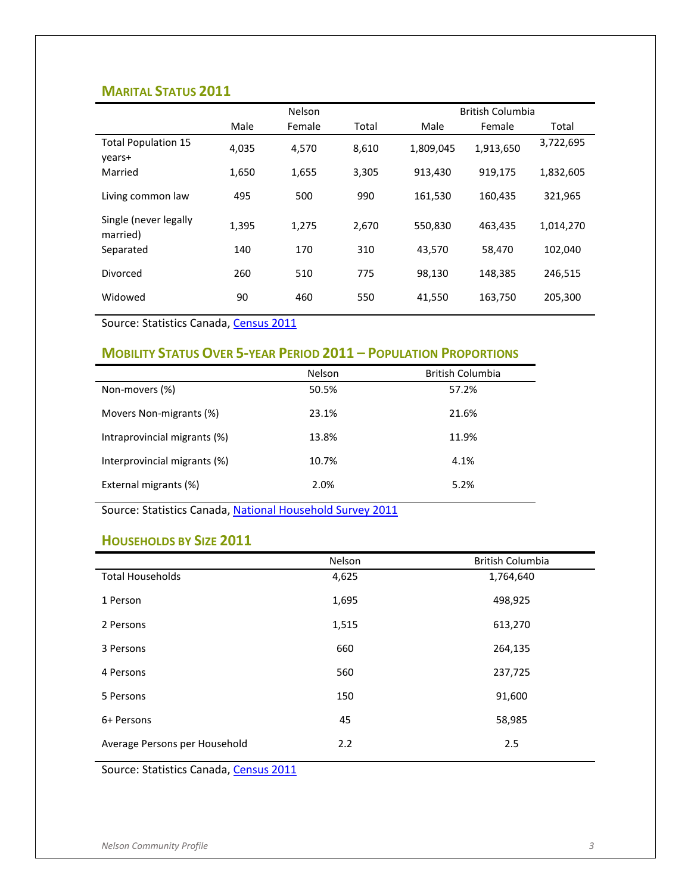#### <span id="page-5-0"></span>**MARITAL STATUS 2011**

|                                      |       | Nelson |       |           | <b>British Columbia</b> |           |
|--------------------------------------|-------|--------|-------|-----------|-------------------------|-----------|
|                                      | Male  | Female | Total | Male      | Female                  | Total     |
| <b>Total Population 15</b><br>years+ | 4,035 | 4,570  | 8,610 | 1,809,045 | 1,913,650               | 3,722,695 |
| Married                              | 1,650 | 1,655  | 3,305 | 913,430   | 919,175                 | 1,832,605 |
| Living common law                    | 495   | 500    | 990   | 161,530   | 160,435                 | 321,965   |
| Single (never legally<br>married)    | 1,395 | 1.275  | 2,670 | 550,830   | 463,435                 | 1,014,270 |
| Separated                            | 140   | 170    | 310   | 43,570    | 58,470                  | 102,040   |
| Divorced                             | 260   | 510    | 775   | 98,130    | 148,385                 | 246,515   |
| Widowed                              | 90    | 460    | 550   | 41,550    | 163,750                 | 205,300   |

Source: Statistics Canada[, Census 2011](http://www12.statcan.gc.ca/census-recensement/2011/dp-pd/prof/index.cfm?Lang=E)

## <span id="page-5-1"></span>**MOBILITY STATUS OVER 5-YEAR PERIOD 2011 – POPULATION PROPORTIONS**

|                              | <b>Nelson</b> | <b>British Columbia</b> |
|------------------------------|---------------|-------------------------|
| Non-movers (%)               | 50.5%         | 57.2%                   |
| Movers Non-migrants (%)      | 23.1%         | 21.6%                   |
| Intraprovincial migrants (%) | 13.8%         | 11.9%                   |
| Interprovincial migrants (%) | 10.7%         | 4.1%                    |
| External migrants (%)        | 2.0%          | 5.2%                    |

Source: Statistics Canada[, National Household Survey 2011](http://www12.statcan.gc.ca/nhs-enm/2011/dp-pd/prof/index.cfm?Lang=E)

#### <span id="page-5-2"></span>**HOUSEHOLDS BY SIZE 2011**

|                               | Nelson | British Columbia |
|-------------------------------|--------|------------------|
| <b>Total Households</b>       | 4,625  | 1,764,640        |
| 1 Person                      | 1,695  | 498,925          |
| 2 Persons                     | 1,515  | 613,270          |
| 3 Persons                     | 660    | 264,135          |
| 4 Persons                     | 560    | 237,725          |
| 5 Persons                     | 150    | 91,600           |
| 6+ Persons                    | 45     | 58,985           |
| Average Persons per Household | 2.2    | 2.5              |

Source: Statistics Canada[, Census 2011](http://www12.statcan.gc.ca/census-recensement/2011/dp-pd/prof/index.cfm?Lang=E)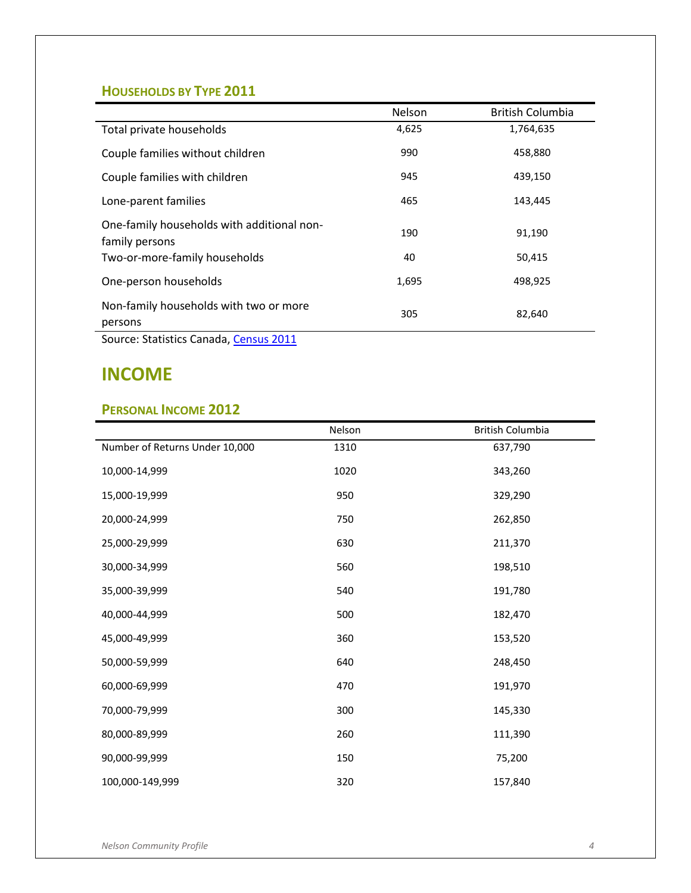## <span id="page-6-0"></span>**HOUSEHOLDS BY TYPE 2011**

|                                                              | Nelson | <b>British Columbia</b> |
|--------------------------------------------------------------|--------|-------------------------|
| Total private households                                     | 4,625  | 1,764,635               |
| Couple families without children                             | 990    | 458,880                 |
| Couple families with children                                | 945    | 439,150                 |
| Lone-parent families                                         | 465    | 143,445                 |
| One-family households with additional non-<br>family persons | 190    | 91,190                  |
| Two-or-more-family households                                | 40     | 50,415                  |
| One-person households                                        | 1,695  | 498,925                 |
| Non-family households with two or more<br>persons            | 305    | 82,640                  |

Source: Statistics Canada[, Census 2011](http://www12.statcan.gc.ca/census-recensement/2011/dp-pd/prof/index.cfm?Lang=E)

## <span id="page-6-1"></span>**INCOME**

#### <span id="page-6-2"></span>**PERSONAL INCOME 2012**

|                                | Nelson | British Columbia |
|--------------------------------|--------|------------------|
| Number of Returns Under 10,000 | 1310   | 637,790          |
| 10,000-14,999                  | 1020   | 343,260          |
| 15,000-19,999                  | 950    | 329,290          |
| 20,000-24,999                  | 750    | 262,850          |
| 25,000-29,999                  | 630    | 211,370          |
| 30,000-34,999                  | 560    | 198,510          |
| 35,000-39,999                  | 540    | 191,780          |
| 40,000-44,999                  | 500    | 182,470          |
| 45,000-49,999                  | 360    | 153,520          |
| 50,000-59,999                  | 640    | 248,450          |
| 60,000-69,999                  | 470    | 191,970          |
| 70,000-79,999                  | 300    | 145,330          |
| 80,000-89,999                  | 260    | 111,390          |
| 90,000-99,999                  | 150    | 75,200           |
| 100,000-149,999                | 320    | 157,840          |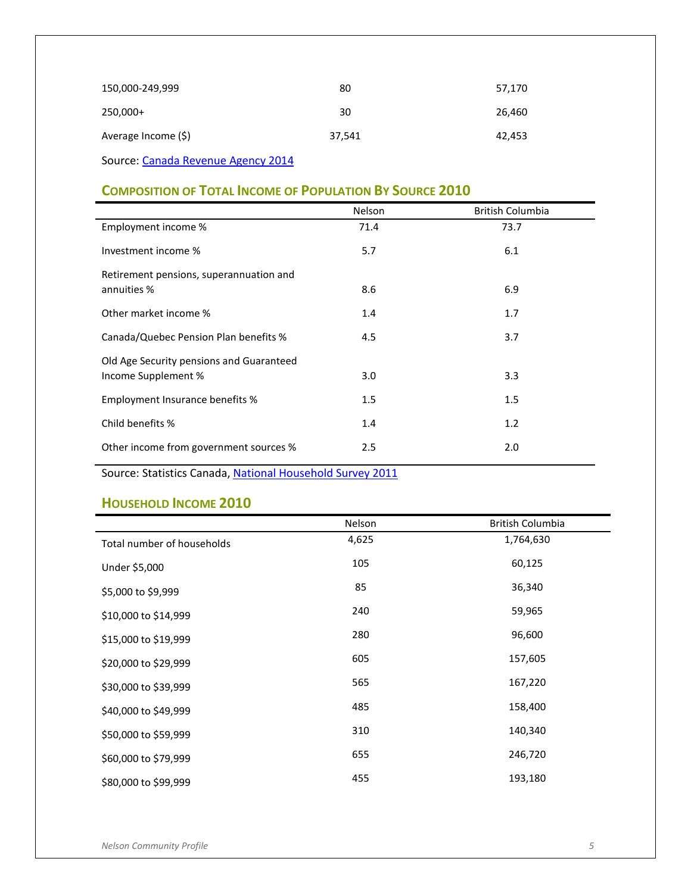| 150,000-249,999                    | 80     | 57,170 |
|------------------------------------|--------|--------|
| 250,000+                           | 30     | 26,460 |
| Average Income (\$)                | 37,541 | 42,453 |
| Source: Canada Revenue Agency 2014 |        |        |

<span id="page-7-0"></span>**COMPOSITION OF TOTAL INCOME OF POPULATION BY SOURCE 2010**

|                                          | Nelson | British Columbia |
|------------------------------------------|--------|------------------|
| Employment income %                      | 71.4   | 73.7             |
| Investment income %                      | 5.7    | 6.1              |
| Retirement pensions, superannuation and  |        |                  |
| annuities %                              | 8.6    | 6.9              |
| Other market income %                    | 1.4    | 1.7              |
| Canada/Quebec Pension Plan benefits %    | 4.5    | 3.7              |
| Old Age Security pensions and Guaranteed |        |                  |
| Income Supplement %                      | 3.0    | 3.3              |
| Employment Insurance benefits %          | 1.5    | 1.5              |
| Child benefits %                         | 1.4    | 1.2              |
| Other income from government sources %   | 2.5    | 2.0              |

Source: Statistics Canada[, National Household Survey 2011](http://www12.statcan.gc.ca/nhs-enm/2011/dp-pd/prof/index.cfm?Lang=E)

#### <span id="page-7-1"></span>**HOUSEHOLD INCOME 2010**

|                            | Nelson | British Columbia |
|----------------------------|--------|------------------|
| Total number of households | 4,625  | 1,764,630        |
| Under \$5,000              | 105    | 60,125           |
| \$5,000 to \$9,999         | 85     | 36,340           |
| \$10,000 to \$14,999       | 240    | 59,965           |
| \$15,000 to \$19,999       | 280    | 96,600           |
| \$20,000 to \$29,999       | 605    | 157,605          |
| \$30,000 to \$39,999       | 565    | 167,220          |
| \$40,000 to \$49,999       | 485    | 158,400          |
| \$50,000 to \$59,999       | 310    | 140,340          |
| \$60,000 to \$79,999       | 655    | 246,720          |
| \$80,000 to \$99,999       | 455    | 193,180          |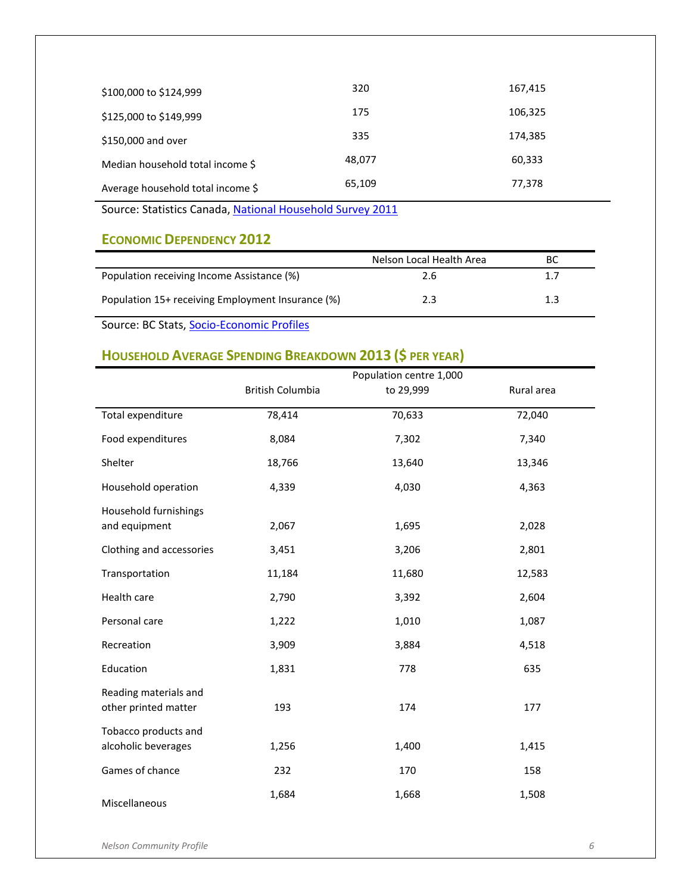| \$100,000 to \$124,999            | 320    | 167,415 |
|-----------------------------------|--------|---------|
| \$125,000 to \$149,999            | 175    | 106,325 |
| \$150,000 and over                | 335    | 174,385 |
| Median household total income \$  | 48,077 | 60,333  |
| Average household total income \$ | 65,109 | 77,378  |

Source: Statistics Canada[, National Household Survey 2011](http://www12.statcan.gc.ca/nhs-enm/2011/dp-pd/prof/index.cfm?Lang=E)

## <span id="page-8-0"></span>**ECONOMIC DEPENDENCY 2012**

|                                                   | Nelson Local Health Area | ВC  |
|---------------------------------------------------|--------------------------|-----|
| Population receiving Income Assistance (%)        | 2.6                      | 1.7 |
| Population 15+ receiving Employment Insurance (%) | 2.3                      | 1.3 |

Source: BC Stats[, Socio-Economic Profiles](http://www.bcstats.gov.bc.ca/StatisticsBySubject/SocialStatistics/SocioEconomicProfilesIndices/Profiles.aspx)

# <span id="page-8-1"></span>**HOUSEHOLD AVERAGE SPENDING BREAKDOWN 2013 (\$ PER YEAR)**

|                                               |                         | Population centre 1,000 |            |
|-----------------------------------------------|-------------------------|-------------------------|------------|
|                                               | <b>British Columbia</b> | to 29,999               | Rural area |
| Total expenditure                             | 78,414                  | 70,633                  | 72,040     |
| Food expenditures                             | 8,084                   | 7,302                   | 7,340      |
| Shelter                                       | 18,766                  | 13,640                  | 13,346     |
| Household operation                           | 4,339                   | 4,030                   | 4,363      |
| Household furnishings<br>and equipment        | 2,067                   | 1,695                   | 2,028      |
| Clothing and accessories                      | 3,451                   | 3,206                   | 2,801      |
| Transportation                                | 11,184                  | 11,680                  | 12,583     |
| Health care                                   | 2,790                   | 3,392                   | 2,604      |
| Personal care                                 | 1,222                   | 1,010                   | 1,087      |
| Recreation                                    | 3,909                   | 3,884                   | 4,518      |
| Education                                     | 1,831                   | 778                     | 635        |
| Reading materials and<br>other printed matter | 193                     | 174                     | 177        |
| Tobacco products and<br>alcoholic beverages   | 1,256                   | 1,400                   | 1,415      |
| Games of chance                               | 232                     | 170                     | 158        |
| Miscellaneous                                 | 1,684                   | 1,668                   | 1,508      |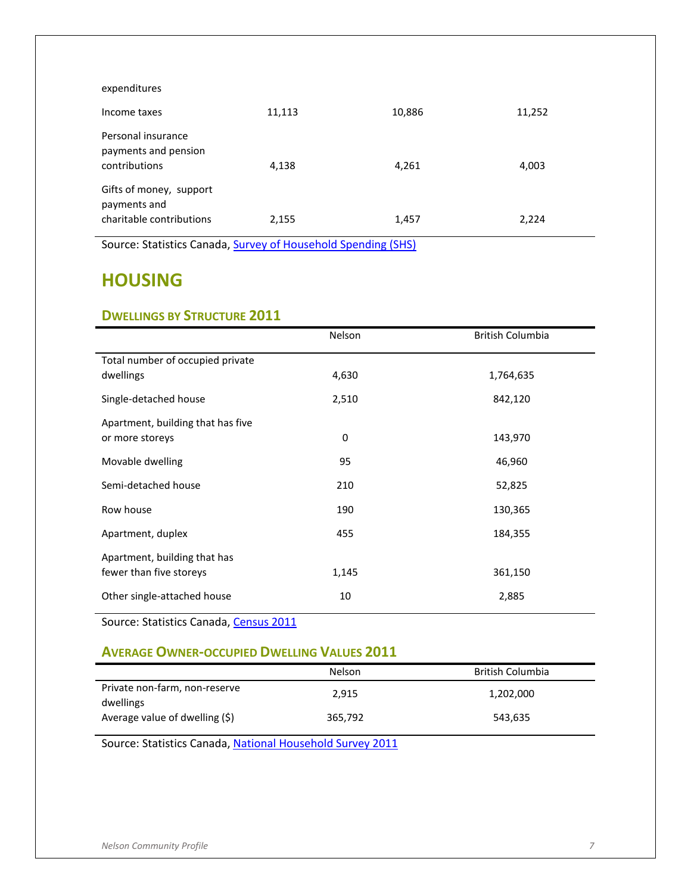| expenditures                                                        |        |        |        |
|---------------------------------------------------------------------|--------|--------|--------|
| Income taxes                                                        | 11,113 | 10,886 | 11,252 |
| Personal insurance<br>payments and pension<br>contributions         | 4,138  | 4,261  | 4,003  |
| Gifts of money, support<br>payments and<br>charitable contributions | 2,155  | 1,457  | 2,224  |

Source: Statistics Canada[, Survey of Household Spending \(SHS\)](http://www5.statcan.gc.ca/cansim/a26?lang=eng&retrLang=eng&id=2030021&pattern=2030021..2030029&csid=)

# <span id="page-9-0"></span>**HOUSING**

#### <span id="page-9-1"></span>**DWELLINGS BY STRUCTURE 2011**

|                                   | Nelson | <b>British Columbia</b> |
|-----------------------------------|--------|-------------------------|
| Total number of occupied private  |        |                         |
| dwellings                         | 4,630  | 1,764,635               |
| Single-detached house             | 2,510  | 842,120                 |
| Apartment, building that has five |        |                         |
| or more storeys                   | 0      | 143,970                 |
| Movable dwelling                  | 95     | 46,960                  |
| Semi-detached house               | 210    | 52,825                  |
| Row house                         | 190    | 130,365                 |
| Apartment, duplex                 | 455    | 184,355                 |
| Apartment, building that has      |        |                         |
| fewer than five storeys           | 1,145  | 361,150                 |
| Other single-attached house       | 10     | 2,885                   |

Source: Statistics Canada[, Census 2011](http://www12.statcan.gc.ca/census-recensement/2011/dp-pd/prof/index.cfm?Lang=E)

#### <span id="page-9-2"></span>**AVERAGE OWNER-OCCUPIED DWELLING VALUES 2011**

|                                            | Nelson  | British Columbia |
|--------------------------------------------|---------|------------------|
| Private non-farm, non-reserve<br>dwellings | 2.915   | 1,202,000        |
| Average value of dwelling (\$)             | 365,792 | 543,635          |

Source: Statistics Canada[, National Household Survey 2011](http://www12.statcan.gc.ca/nhs-enm/2011/dp-pd/prof/index.cfm?Lang=E)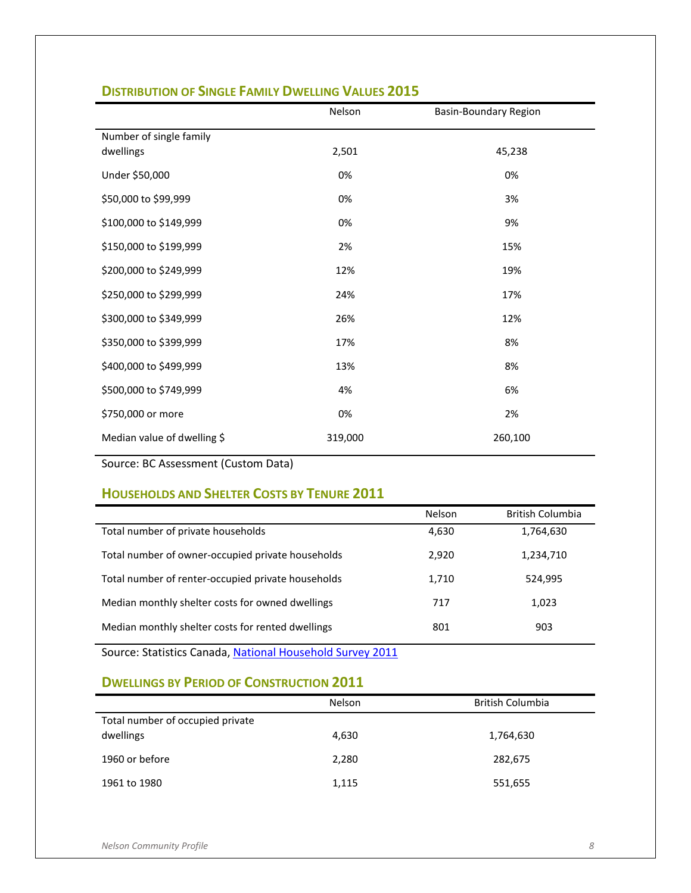|                                      | Nelson  | <b>Basin-Boundary Region</b> |
|--------------------------------------|---------|------------------------------|
| Number of single family<br>dwellings | 2,501   | 45,238                       |
| Under \$50,000                       | 0%      | 0%                           |
| \$50,000 to \$99,999                 | 0%      | 3%                           |
| \$100,000 to \$149,999               | 0%      | 9%                           |
| \$150,000 to \$199,999               | 2%      | 15%                          |
| \$200,000 to \$249,999               | 12%     | 19%                          |
| \$250,000 to \$299,999               | 24%     | 17%                          |
| \$300,000 to \$349,999               | 26%     | 12%                          |
| \$350,000 to \$399,999               | 17%     | 8%                           |
| \$400,000 to \$499,999               | 13%     | 8%                           |
| \$500,000 to \$749,999               | 4%      | 6%                           |
| \$750,000 or more                    | 0%      | 2%                           |
| Median value of dwelling \$          | 319,000 | 260,100                      |

#### <span id="page-10-0"></span>**DISTRIBUTION OF SINGLE FAMILY DWELLING VALUES 2015**

Source: BC Assessment (Custom Data)

## <span id="page-10-1"></span>**HOUSEHOLDS AND SHELTER COSTS BY TENURE 2011**

| Nelson | <b>British Columbia</b> |
|--------|-------------------------|
| 4,630  | 1,764,630               |
| 2.920  | 1,234,710               |
| 1,710  | 524,995                 |
| 717    | 1,023                   |
| 801    | 903                     |
|        |                         |

Source: Statistics Canada[, National Household Survey 2011](http://www12.statcan.gc.ca/nhs-enm/2011/dp-pd/prof/index.cfm?Lang=E)

#### <span id="page-10-2"></span>**DWELLINGS BY PERIOD OF CONSTRUCTION 2011**

|                                  | Nelson | British Columbia |
|----------------------------------|--------|------------------|
| Total number of occupied private |        |                  |
| dwellings                        | 4,630  | 1,764,630        |
|                                  |        |                  |
| 1960 or before                   | 2,280  | 282,675          |
| 1961 to 1980                     | 1,115  | 551,655          |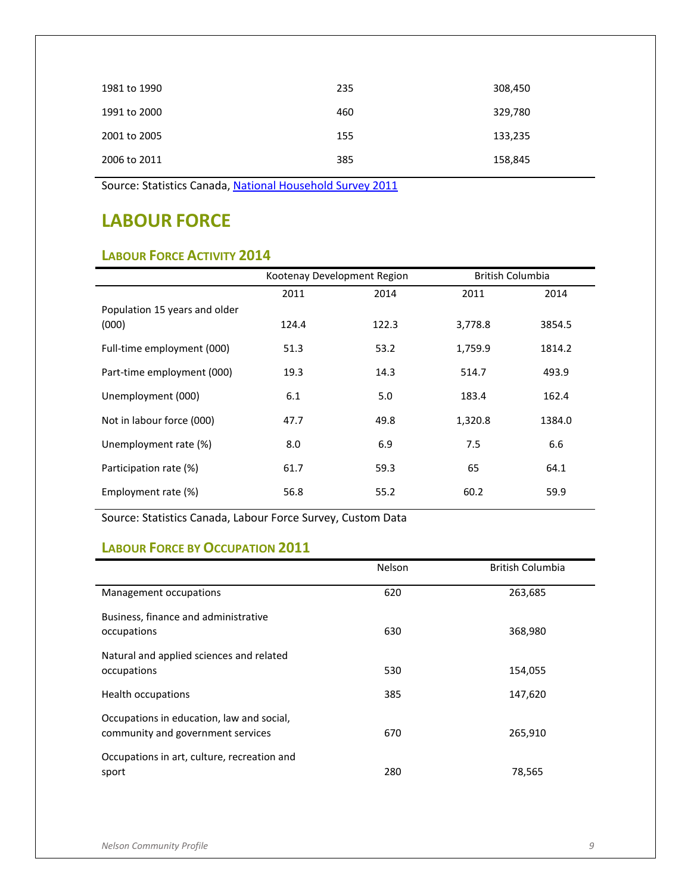| 1981 to 1990 | 235 | 308,450 |
|--------------|-----|---------|
| 1991 to 2000 | 460 | 329,780 |
| 2001 to 2005 | 155 | 133,235 |
| 2006 to 2011 | 385 | 158,845 |

Source: Statistics Canada[, National Household Survey 2011](http://www12.statcan.gc.ca/nhs-enm/2011/dp-pd/prof/index.cfm?Lang=E)

# <span id="page-11-0"></span>**LABOUR FORCE**

## <span id="page-11-1"></span>**LABOUR FORCE ACTIVITY 2014**

|                               | Kootenay Development Region |       | British Columbia |        |
|-------------------------------|-----------------------------|-------|------------------|--------|
|                               | 2011                        | 2014  | 2011             | 2014   |
| Population 15 years and older |                             |       |                  |        |
| (000)                         | 124.4                       | 122.3 | 3,778.8          | 3854.5 |
| Full-time employment (000)    | 51.3                        | 53.2  | 1,759.9          | 1814.2 |
| Part-time employment (000)    | 19.3                        | 14.3  | 514.7            | 493.9  |
| Unemployment (000)            | 6.1                         | 5.0   | 183.4            | 162.4  |
| Not in labour force (000)     | 47.7                        | 49.8  | 1,320.8          | 1384.0 |
| Unemployment rate (%)         | 8.0                         | 6.9   | 7.5              | 6.6    |
| Participation rate (%)        | 61.7                        | 59.3  | 65               | 64.1   |
| Employment rate (%)           | 56.8                        | 55.2  | 60.2             | 59.9   |

Source: Statistics Canada, Labour Force Survey, Custom Data

## <span id="page-11-2"></span>**LABOUR FORCE BY OCCUPATION 2011**

|                                                                                | Nelson | <b>British Columbia</b> |
|--------------------------------------------------------------------------------|--------|-------------------------|
| Management occupations                                                         | 620    | 263,685                 |
| Business, finance and administrative<br>occupations                            | 630    | 368,980                 |
| Natural and applied sciences and related<br>occupations                        | 530    | 154,055                 |
| Health occupations                                                             | 385    | 147,620                 |
| Occupations in education, law and social,<br>community and government services | 670    | 265,910                 |
| Occupations in art, culture, recreation and<br>sport                           | 280    | 78,565                  |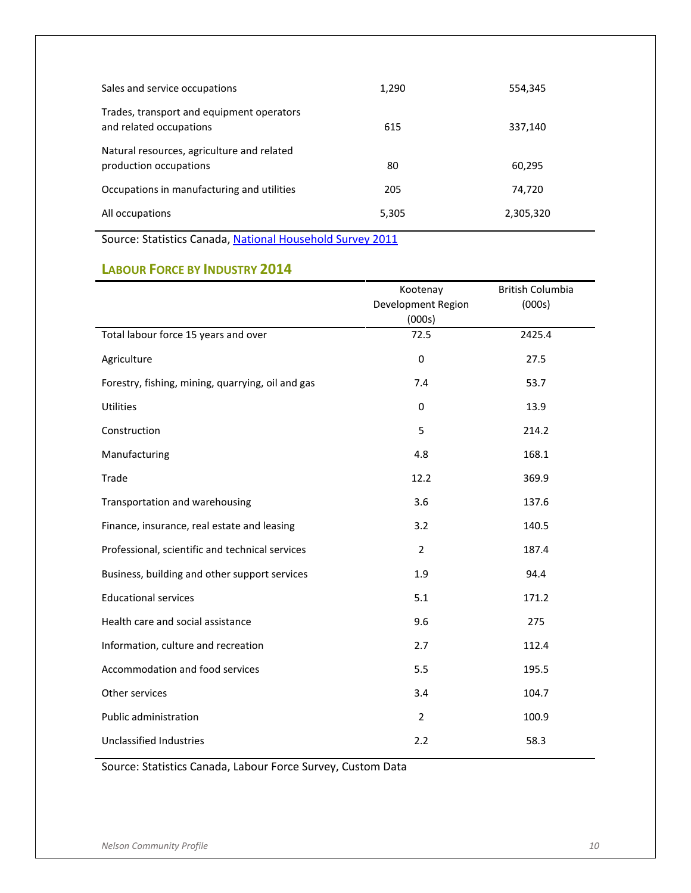| Sales and service occupations                                        | 1,290 | 554,345   |
|----------------------------------------------------------------------|-------|-----------|
| Trades, transport and equipment operators<br>and related occupations | 615   | 337,140   |
| Natural resources, agriculture and related<br>production occupations | 80    | 60,295    |
| Occupations in manufacturing and utilities                           | 205   | 74,720    |
| All occupations                                                      | 5,305 | 2,305,320 |

Source: Statistics Canada[, National Household Survey 2011](http://www12.statcan.gc.ca/nhs-enm/2011/dp-pd/prof/index.cfm?Lang=E)

## <span id="page-12-0"></span>**LABOUR FORCE BY INDUSTRY 2014**

|                                                   | Kootenay<br>Development Region | <b>British Columbia</b><br>(000s) |
|---------------------------------------------------|--------------------------------|-----------------------------------|
|                                                   | (000s)                         |                                   |
| Total labour force 15 years and over              | 72.5                           | 2425.4                            |
| Agriculture                                       | $\boldsymbol{0}$               | 27.5                              |
| Forestry, fishing, mining, quarrying, oil and gas | 7.4                            | 53.7                              |
| Utilities                                         | $\mathbf 0$                    | 13.9                              |
| Construction                                      | 5                              | 214.2                             |
| Manufacturing                                     | 4.8                            | 168.1                             |
| Trade                                             | 12.2                           | 369.9                             |
| Transportation and warehousing                    | 3.6                            | 137.6                             |
| Finance, insurance, real estate and leasing       | 3.2                            | 140.5                             |
| Professional, scientific and technical services   | $\overline{2}$                 | 187.4                             |
| Business, building and other support services     | 1.9                            | 94.4                              |
| <b>Educational services</b>                       | 5.1                            | 171.2                             |
| Health care and social assistance                 | 9.6                            | 275                               |
| Information, culture and recreation               | 2.7                            | 112.4                             |
| Accommodation and food services                   | 5.5                            | 195.5                             |
| Other services                                    | 3.4                            | 104.7                             |
| Public administration                             | $\overline{2}$                 | 100.9                             |
| Unclassified Industries                           | 2.2                            | 58.3                              |

Source: Statistics Canada, Labour Force Survey, Custom Data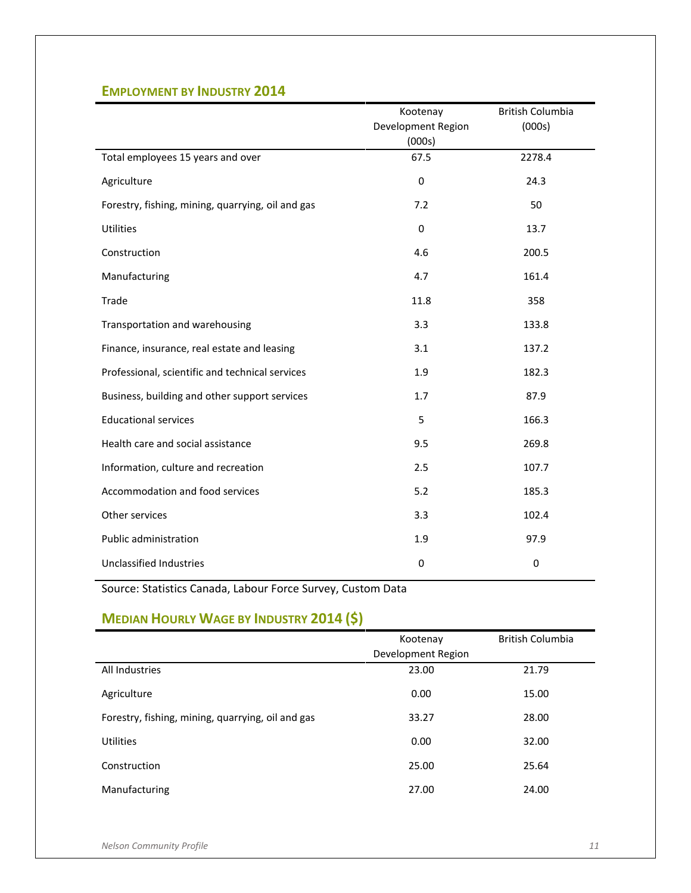## <span id="page-13-0"></span>**EMPLOYMENT BY INDUSTRY 2014**

|                                                   | Kootenay           | <b>British Columbia</b> |
|---------------------------------------------------|--------------------|-------------------------|
|                                                   | Development Region | (000s)                  |
|                                                   | (000s)             |                         |
| Total employees 15 years and over                 | 67.5               | 2278.4                  |
| Agriculture                                       | $\mathbf 0$        | 24.3                    |
| Forestry, fishing, mining, quarrying, oil and gas | 7.2                | 50                      |
| Utilities                                         | $\mathbf 0$        | 13.7                    |
| Construction                                      | 4.6                | 200.5                   |
| Manufacturing                                     | 4.7                | 161.4                   |
| Trade                                             | 11.8               | 358                     |
| Transportation and warehousing                    | 3.3                | 133.8                   |
| Finance, insurance, real estate and leasing       | 3.1                | 137.2                   |
| Professional, scientific and technical services   | 1.9                | 182.3                   |
| Business, building and other support services     | 1.7                | 87.9                    |
| <b>Educational services</b>                       | 5                  | 166.3                   |
| Health care and social assistance                 | 9.5                | 269.8                   |
| Information, culture and recreation               | 2.5                | 107.7                   |
| Accommodation and food services                   | 5.2                | 185.3                   |
| Other services                                    | 3.3                | 102.4                   |
| Public administration                             | 1.9                | 97.9                    |
| Unclassified Industries                           | 0                  | $\pmb{0}$               |

Source: Statistics Canada, Labour Force Survey, Custom Data

# <span id="page-13-1"></span>**MEDIAN HOURLY WAGE BY INDUSTRY 2014 (\$)**

|                                                   | Kootenay           | <b>British Columbia</b> |
|---------------------------------------------------|--------------------|-------------------------|
|                                                   | Development Region |                         |
| All Industries                                    | 23.00              | 21.79                   |
| Agriculture                                       | 0.00               | 15.00                   |
| Forestry, fishing, mining, quarrying, oil and gas | 33.27              | 28.00                   |
| Utilities                                         | 0.00               | 32.00                   |
| Construction                                      | 25.00              | 25.64                   |
| Manufacturing                                     | 27.00              | 24.00                   |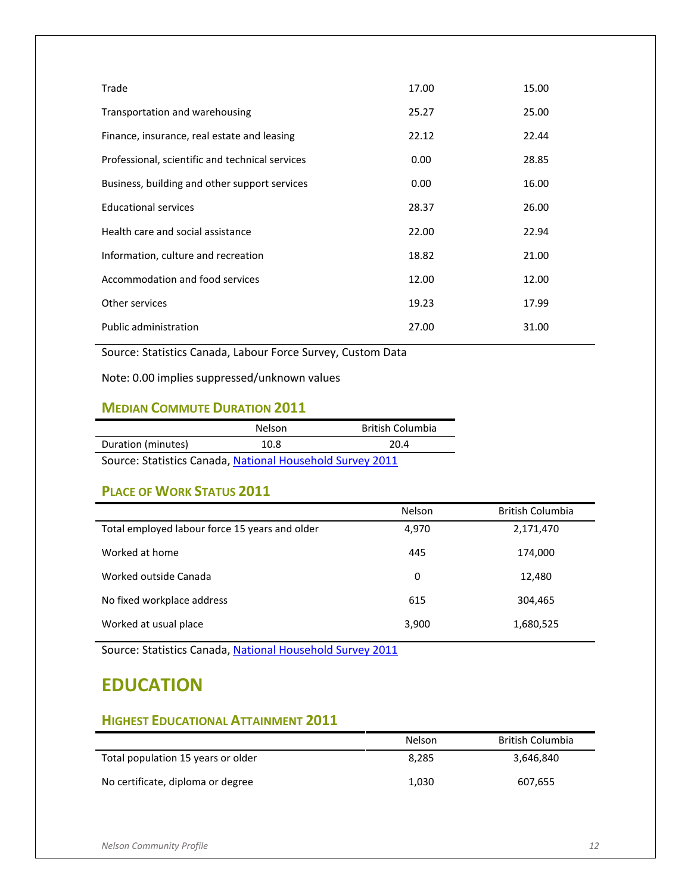| Trade                                           | 17.00 | 15.00 |
|-------------------------------------------------|-------|-------|
| Transportation and warehousing                  | 25.27 | 25.00 |
| Finance, insurance, real estate and leasing     | 22.12 | 22.44 |
| Professional, scientific and technical services | 0.00  | 28.85 |
| Business, building and other support services   | 0.00  | 16.00 |
| <b>Educational services</b>                     | 28.37 | 26.00 |
| Health care and social assistance               | 22.00 | 22.94 |
| Information, culture and recreation             | 18.82 | 21.00 |
| Accommodation and food services                 | 12.00 | 12.00 |
| Other services                                  | 19.23 | 17.99 |
| Public administration                           | 27.00 | 31.00 |

Source: Statistics Canada, Labour Force Survey, Custom Data

Note: 0.00 implies suppressed/unknown values

## <span id="page-14-0"></span>**MEDIAN COMMUTE DURATION 2011**

|                                                           | Nelson | <b>British Columbia</b> |  |
|-----------------------------------------------------------|--------|-------------------------|--|
| Duration (minutes)                                        | 10.8   | 20.4                    |  |
| Source: Statistics Canada, National Household Survey 2011 |        |                         |  |

#### <span id="page-14-1"></span>**PLACE OF WORK STATUS 2011**

|                                                | <b>Nelson</b> | <b>British Columbia</b> |
|------------------------------------------------|---------------|-------------------------|
| Total employed labour force 15 years and older | 4,970         | 2,171,470               |
| Worked at home                                 | 445           | 174,000                 |
| Worked outside Canada                          | 0             | 12,480                  |
| No fixed workplace address                     | 615           | 304,465                 |
| Worked at usual place                          | 3,900         | 1,680,525               |

Source: Statistics Canada[, National Household Survey 2011](http://www12.statcan.gc.ca/nhs-enm/2011/dp-pd/prof/index.cfm?Lang=E)

# <span id="page-14-2"></span>**EDUCATION**

## <span id="page-14-3"></span>**HIGHEST EDUCATIONAL ATTAINMENT 2011**

|                                    | Nelson | <b>British Columbia</b> |
|------------------------------------|--------|-------------------------|
| Total population 15 years or older | 8.285  | 3,646,840               |
| No certificate, diploma or degree  | 1.030  | 607,655                 |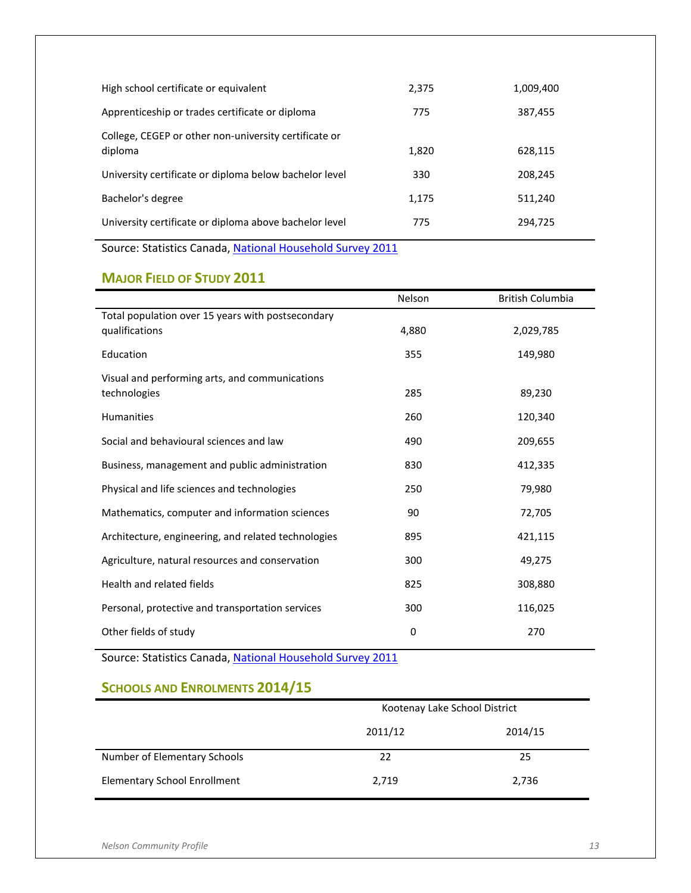| High school certificate or equivalent                            | 2.375 | 1,009,400 |
|------------------------------------------------------------------|-------|-----------|
| Apprenticeship or trades certificate or diploma                  | 775   | 387,455   |
| College, CEGEP or other non-university certificate or<br>diploma | 1,820 | 628,115   |
| University certificate or diploma below bachelor level           | 330   | 208,245   |
| Bachelor's degree                                                | 1,175 | 511,240   |
| University certificate or diploma above bachelor level           | 775   | 294,725   |
|                                                                  |       |           |

Source: Statistics Canada[, National Household Survey 2011](http://www12.statcan.gc.ca/nhs-enm/2011/dp-pd/prof/index.cfm?Lang=E)

## <span id="page-15-0"></span>**MAJOR FIELD OF STUDY 2011**

|                                                     | Nelson | <b>British Columbia</b> |
|-----------------------------------------------------|--------|-------------------------|
| Total population over 15 years with postsecondary   |        |                         |
| qualifications                                      | 4,880  | 2,029,785               |
| Education                                           | 355    | 149,980                 |
| Visual and performing arts, and communications      |        |                         |
| technologies                                        | 285    | 89,230                  |
| <b>Humanities</b>                                   | 260    | 120,340                 |
| Social and behavioural sciences and law             | 490    | 209,655                 |
| Business, management and public administration      | 830    | 412,335                 |
| Physical and life sciences and technologies         | 250    | 79,980                  |
| Mathematics, computer and information sciences      | 90     | 72,705                  |
| Architecture, engineering, and related technologies | 895    | 421,115                 |
| Agriculture, natural resources and conservation     | 300    | 49,275                  |
| Health and related fields                           | 825    | 308,880                 |
| Personal, protective and transportation services    | 300    | 116,025                 |
| Other fields of study                               | 0      | 270                     |

Source: Statistics Canada[, National Household Survey 2011](http://www12.statcan.gc.ca/nhs-enm/2011/dp-pd/prof/index.cfm?Lang=E)

## <span id="page-15-1"></span>**SCHOOLS AND ENROLMENTS 2014/15**

|                                     | Kootenay Lake School District |         |  |
|-------------------------------------|-------------------------------|---------|--|
|                                     | 2011/12                       | 2014/15 |  |
| Number of Elementary Schools        | 22                            | 25      |  |
| <b>Elementary School Enrollment</b> | 2,719                         | 2,736   |  |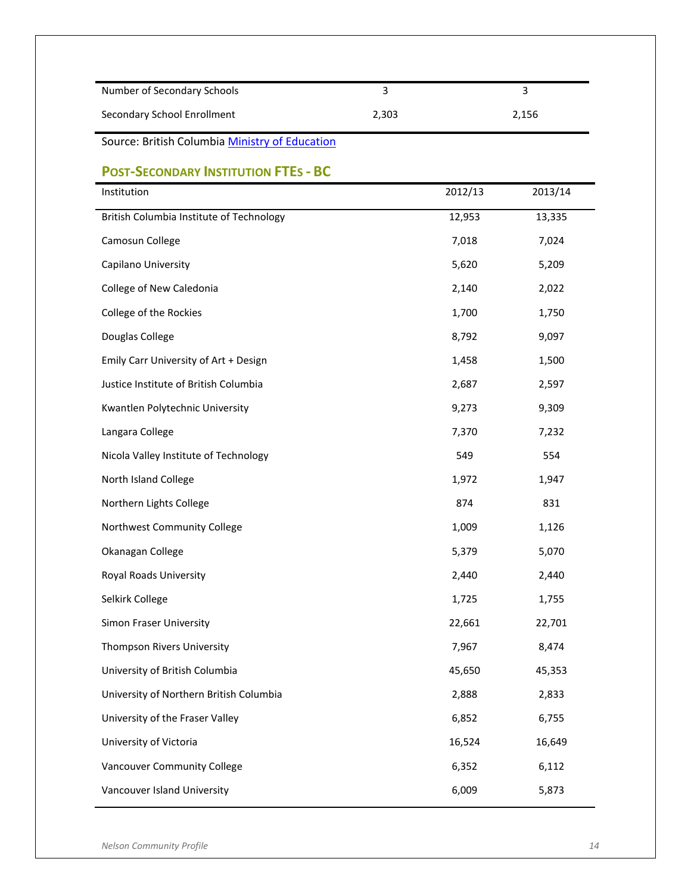<span id="page-16-0"></span>

| Number of Secondary Schools                    | $\overline{3}$ |         | 3       |
|------------------------------------------------|----------------|---------|---------|
| Secondary School Enrollment<br>2,303           |                | 2,156   |         |
| Source: British Columbia Ministry of Education |                |         |         |
| <b>POST-SECONDARY INSTITUTION FTES - BC</b>    |                |         |         |
| Institution                                    |                | 2012/13 | 2013/14 |
| British Columbia Institute of Technology       |                | 12,953  | 13,335  |
| Camosun College                                |                | 7,018   | 7,024   |
| Capilano University                            |                | 5,620   | 5,209   |
| College of New Caledonia                       |                | 2,140   | 2,022   |
| College of the Rockies                         |                | 1,700   | 1,750   |
| Douglas College                                |                | 8,792   | 9,097   |
| Emily Carr University of Art + Design          |                | 1,458   | 1,500   |
| Justice Institute of British Columbia          |                | 2,687   | 2,597   |
| Kwantlen Polytechnic University                |                | 9,273   | 9,309   |
| Langara College                                |                | 7,370   | 7,232   |
| Nicola Valley Institute of Technology          |                | 549     | 554     |
| North Island College                           |                | 1,972   | 1,947   |
| Northern Lights College                        |                | 874     | 831     |
| Northwest Community College                    |                | 1,009   | 1,126   |
| Okanagan College                               |                | 5,379   | 5,070   |
| Royal Roads University                         |                | 2,440   | 2,440   |
| Selkirk College                                |                | 1,725   | 1,755   |
| Simon Fraser University                        |                | 22,661  | 22,701  |
| Thompson Rivers University                     |                | 7,967   | 8,474   |
| University of British Columbia                 |                | 45,650  | 45,353  |
| University of Northern British Columbia        |                | 2,888   | 2,833   |
| University of the Fraser Valley                |                | 6,852   | 6,755   |
| University of Victoria                         |                | 16,524  | 16,649  |
| Vancouver Community College                    |                | 6,352   | 6,112   |
| Vancouver Island University                    |                | 6,009   | 5,873   |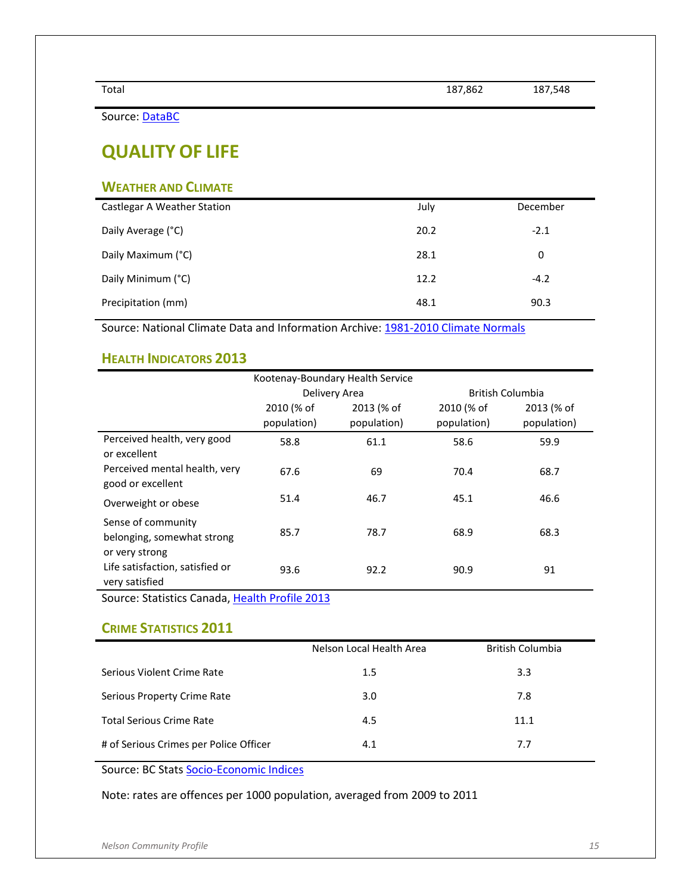Source: [DataBC](http://catalogue.data.gov.bc.ca/dataset/full-time-equivalent-enrolments-at-b-c-public-post-secondary-institutions)

# <span id="page-17-0"></span>**QUALITY OF LIFE**

#### <span id="page-17-1"></span>**WEATHER AND CLIMATE**

| Castlegar A Weather Station | July | December |
|-----------------------------|------|----------|
| Daily Average (°C)          | 20.2 | $-2.1$   |
| Daily Maximum (°C)          | 28.1 | 0        |
| Daily Minimum (°C)          | 12.2 | $-4.2$   |
| Precipitation (mm)          | 48.1 | 90.3     |

Source: National Climate Data and Information Archive: [1981-2010 Climate Normals](http://climate.weather.gc.ca/climate_normals/index_e.html)

#### <span id="page-17-2"></span>**HEALTH INDICATORS 2013**

| Kootenay-Boundary Health Service                                   |               |             |                         |             |
|--------------------------------------------------------------------|---------------|-------------|-------------------------|-------------|
|                                                                    | Delivery Area |             | <b>British Columbia</b> |             |
|                                                                    | 2010 (% of    | 2013 (% of  | 2010 (% of              | 2013 (% of  |
|                                                                    | population)   | population) | population)             | population) |
| Perceived health, very good<br>or excellent                        | 58.8          | 61.1        | 58.6                    | 59.9        |
| Perceived mental health, very<br>good or excellent                 | 67.6          | 69          | 70.4                    | 68.7        |
| Overweight or obese                                                | 51.4          | 46.7        | 45.1                    | 46.6        |
| Sense of community<br>belonging, somewhat strong<br>or very strong | 85.7          | 78.7        | 68.9                    | 68.3        |
| Life satisfaction, satisfied or<br>very satisfied                  | 93.6          | 92.2        | 90.9                    | 91          |

Source: Statistics Canada[, Health Profile 2013](http://www12.statcan.gc.ca/health-sante/82-228/index.cfm)

## <span id="page-17-3"></span>**CRIME STATISTICS 2011**

|                                        | Nelson Local Health Area | <b>British Columbia</b> |
|----------------------------------------|--------------------------|-------------------------|
| Serious Violent Crime Rate             | 1.5                      | 3.3                     |
| Serious Property Crime Rate            | 3.0                      | 7.8                     |
| <b>Total Serious Crime Rate</b>        | 4.5                      | 11.1                    |
| # of Serious Crimes per Police Officer | 4.1                      | 7.7                     |

Source: BC Stats [Socio-Economic Indices](http://www.bcstats.gov.bc.ca/StatisticsBySubject/SocialStatistics/SocioEconomicProfilesIndices/SocioEconomicIndices/LHAReports.aspx)

Note: rates are offences per 1000 population, averaged from 2009 to 2011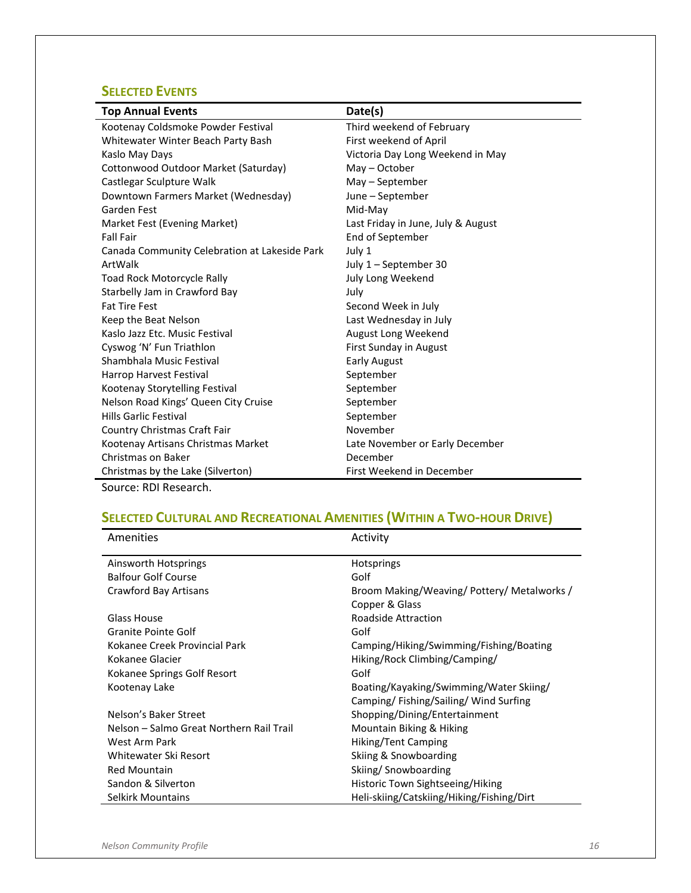## <span id="page-18-0"></span>**SELECTED EVENTS**

| <b>Top Annual Events</b>                      | Date(s)                            |
|-----------------------------------------------|------------------------------------|
| Kootenay Coldsmoke Powder Festival            | Third weekend of February          |
| Whitewater Winter Beach Party Bash            | First weekend of April             |
| Kaslo May Days                                | Victoria Day Long Weekend in May   |
| Cottonwood Outdoor Market (Saturday)          | May - October                      |
| Castlegar Sculpture Walk                      | May – September                    |
| Downtown Farmers Market (Wednesday)           | June – September                   |
| Garden Fest                                   | Mid-May                            |
| Market Fest (Evening Market)                  | Last Friday in June, July & August |
| <b>Fall Fair</b>                              | End of September                   |
| Canada Community Celebration at Lakeside Park | July 1                             |
| ArtWalk                                       | July 1 - September 30              |
| Toad Rock Motorcycle Rally                    | July Long Weekend                  |
| Starbelly Jam in Crawford Bay                 | July                               |
| <b>Fat Tire Fest</b>                          | Second Week in July                |
| Keep the Beat Nelson                          | Last Wednesday in July             |
| Kaslo Jazz Etc. Music Festival                | August Long Weekend                |
| Cyswog 'N' Fun Triathlon                      | First Sunday in August             |
| Shambhala Music Festival                      | <b>Early August</b>                |
| Harrop Harvest Festival                       | September                          |
| Kootenay Storytelling Festival                | September                          |
| Nelson Road Kings' Queen City Cruise          | September                          |
| Hills Garlic Festival                         | September                          |
| Country Christmas Craft Fair                  | November                           |
| Kootenay Artisans Christmas Market            | Late November or Early December    |
| Christmas on Baker                            | December                           |
| Christmas by the Lake (Silverton)             | First Weekend in December          |

Source: RDI Research.

# <span id="page-18-1"></span>**SELECTED CULTURAL AND RECREATIONAL AMENITIES (WITHIN A TWO-HOUR DRIVE)**

| <b>Amenities</b>                         | Activity                                  |
|------------------------------------------|-------------------------------------------|
| Ainsworth Hotsprings                     | <b>Hotsprings</b>                         |
| <b>Balfour Golf Course</b>               | Golf                                      |
| Crawford Bay Artisans                    | Broom Making/Weaving/Pottery/Metalworks/  |
|                                          | Copper & Glass                            |
| Glass House                              | Roadside Attraction                       |
| Granite Pointe Golf                      | Golf                                      |
| Kokanee Creek Provincial Park            | Camping/Hiking/Swimming/Fishing/Boating   |
| Kokanee Glacier                          | Hiking/Rock Climbing/Camping/             |
| Kokanee Springs Golf Resort              | Golf                                      |
| Kootenay Lake                            | Boating/Kayaking/Swimming/Water Skiing/   |
|                                          | Camping/Fishing/Sailing/Wind Surfing      |
| Nelson's Baker Street                    | Shopping/Dining/Entertainment             |
| Nelson – Salmo Great Northern Rail Trail | Mountain Biking & Hiking                  |
| West Arm Park                            | Hiking/Tent Camping                       |
| Whitewater Ski Resort                    | Skiing & Snowboarding                     |
| <b>Red Mountain</b>                      | Skiing/Snowboarding                       |
| Sandon & Silverton                       | Historic Town Sightseeing/Hiking          |
| Selkirk Mountains                        | Heli-skiing/Catskiing/Hiking/Fishing/Dirt |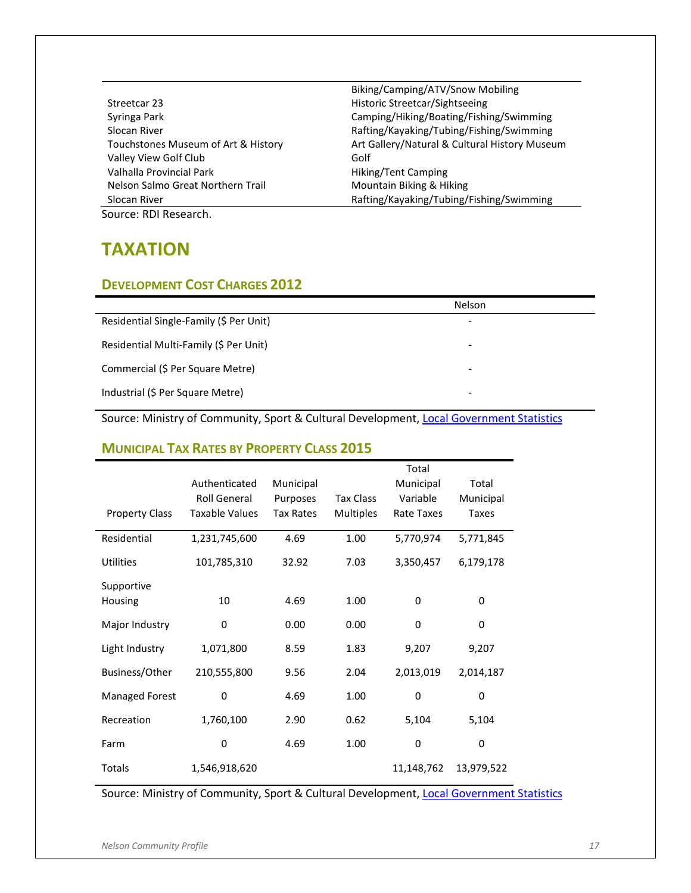|                                     | Biking/Camping/ATV/Snow Mobiling              |
|-------------------------------------|-----------------------------------------------|
| Streetcar 23                        | Historic Streetcar/Sightseeing                |
| Syringa Park                        | Camping/Hiking/Boating/Fishing/Swimming       |
| Slocan River                        | Rafting/Kayaking/Tubing/Fishing/Swimming      |
| Touchstones Museum of Art & History | Art Gallery/Natural & Cultural History Museum |
| Valley View Golf Club               | Golf                                          |
| Valhalla Provincial Park            | Hiking/Tent Camping                           |
| Nelson Salmo Great Northern Trail   | Mountain Biking & Hiking                      |
| Slocan River                        | Rafting/Kayaking/Tubing/Fishing/Swimming      |
| Source: RDI Research.               |                                               |

<span id="page-19-0"></span>**TAXATION**

#### <span id="page-19-1"></span>**DEVELOPMENT COST CHARGES 2012**

|                                         | Nelson |
|-----------------------------------------|--------|
| Residential Single-Family (\$ Per Unit) |        |
| Residential Multi-Family (\$ Per Unit)  |        |
| Commercial (\$ Per Square Metre)        | -      |
| Industrial (\$ Per Square Metre)        |        |

Source: Ministry of Community, Sport & Cultural Development[, Local Government Statistics](http://www.cscd.gov.bc.ca/lgd/finance/development_cost_charges.htm)

#### <span id="page-19-2"></span>**MUNICIPAL TAX RATES BY PROPERTY CLASS 2015**

|                       |                     |                  |                  | Total      |              |
|-----------------------|---------------------|------------------|------------------|------------|--------------|
|                       | Authenticated       | Municipal        |                  | Municipal  | Total        |
|                       | <b>Roll General</b> | Purposes         | <b>Tax Class</b> | Variable   | Municipal    |
| <b>Property Class</b> | Taxable Values      | <b>Tax Rates</b> | <b>Multiples</b> | Rate Taxes | <b>Taxes</b> |
| Residential           | 1,231,745,600       | 4.69             | 1.00             | 5,770,974  | 5,771,845    |
| <b>Utilities</b>      | 101,785,310         | 32.92            | 7.03             | 3,350,457  | 6,179,178    |
| Supportive            |                     |                  |                  |            |              |
| <b>Housing</b>        | 10                  | 4.69             | 1.00             | $\Omega$   | 0            |
| Major Industry        | 0                   | 0.00             | 0.00             | 0          | 0            |
| Light Industry        | 1,071,800           | 8.59             | 1.83             | 9,207      | 9,207        |
| Business/Other        | 210,555,800         | 9.56             | 2.04             | 2,013,019  | 2,014,187    |
| <b>Managed Forest</b> | 0                   | 4.69             | 1.00             | 0          | 0            |
| Recreation            | 1,760,100           | 2.90             | 0.62             | 5,104      | 5,104        |
| Farm                  | 0                   | 4.69             | 1.00             | 0          | 0            |
| <b>Totals</b>         | 1,546,918,620       |                  |                  | 11,148,762 | 13,979,522   |

Source: Ministry of Community, Sport & Cultural Development[, Local Government Statistics](http://www.cscd.gov.bc.ca/lgd/infra/statistics_index.htm)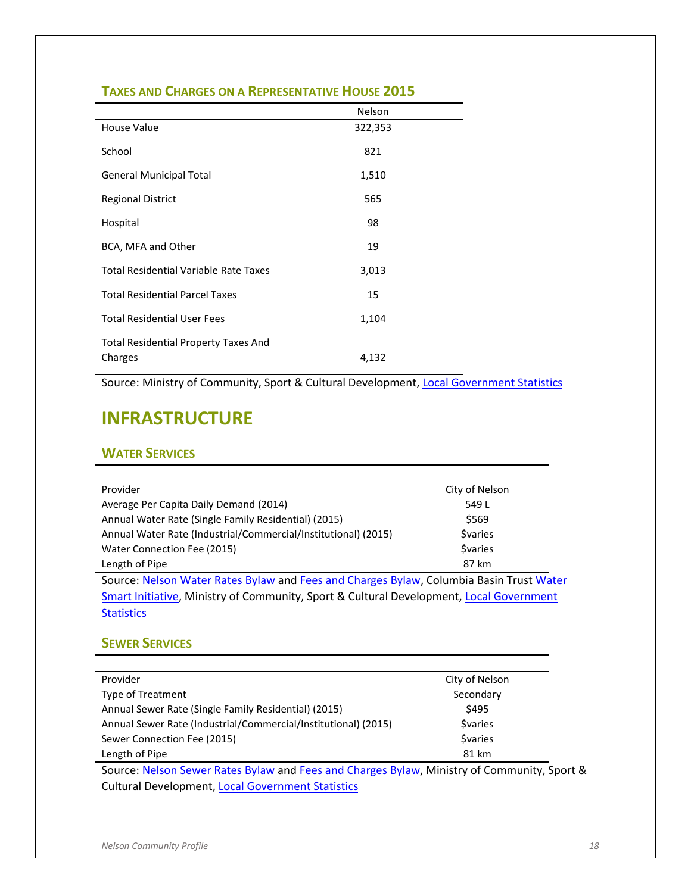|                                                        | Nelson  |
|--------------------------------------------------------|---------|
| House Value                                            | 322,353 |
| School                                                 | 821     |
| <b>General Municipal Total</b>                         | 1,510   |
| <b>Regional District</b>                               | 565     |
| Hospital                                               | 98      |
| BCA, MFA and Other                                     | 19      |
| Total Residential Variable Rate Taxes                  | 3,013   |
| <b>Total Residential Parcel Taxes</b>                  | 15      |
| <b>Total Residential User Fees</b>                     | 1,104   |
| <b>Total Residential Property Taxes And</b><br>Charges | 4,132   |

#### <span id="page-20-0"></span>**TAXES AND CHARGES ON A REPRESENTATIVE HOUSE 2015**

Source: Ministry of Community, Sport & Cultural Development[, Local Government Statistics](http://www.cscd.gov.bc.ca/lgd/infra/statistics_index.htm)

# <span id="page-20-1"></span>**INFRASTRUCTURE**

#### <span id="page-20-2"></span>**WATER SERVICES**

| Provider                                                                                | City of Nelson |
|-----------------------------------------------------------------------------------------|----------------|
| Average Per Capita Daily Demand (2014)                                                  | 549 L          |
| Annual Water Rate (Single Family Residential) (2015)                                    | \$569          |
| Annual Water Rate (Industrial/Commercial/Institutional) (2015)                          | <b>Syaries</b> |
| Water Connection Fee (2015)                                                             | <b>Syaries</b> |
| Length of Pipe                                                                          | 87 km          |
| Source: Nelson Water Rates Bylaw and Fees and Charges Bylaw, Columbia Basin Trust Water |                |
| Smart Initiative, Ministry of Community, Sport & Cultural Development, Local Government |                |
| <b>Statistics</b>                                                                       |                |

#### <span id="page-20-3"></span>**SEWER SERVICES**

| Provider                                                                               | City of Nelson |
|----------------------------------------------------------------------------------------|----------------|
| <b>Type of Treatment</b>                                                               | Secondary      |
| Annual Sewer Rate (Single Family Residential) (2015)                                   | \$495          |
| Annual Sewer Rate (Industrial/Commercial/Institutional) (2015)                         | <b>Svaries</b> |
| Sewer Connection Fee (2015)                                                            | <b>Svaries</b> |
| Length of Pipe                                                                         | 81 km          |
| Source: Nelson Sewer Rates Bylaw and Eees and Charges Bylaw, Ministry of Community, Sp |                |

Source: <u>Nelson Sewer Rates Bylaw</u> an[d Fees and Charges Bylaw,](https://nelson.civicweb.net/Documents/DocumentList.aspx?ID=6404) Ministry of Community, Sport & Cultural Development[, Local Government Statistics](http://www.cscd.gov.bc.ca/lgd/infra/statistics_index.htm)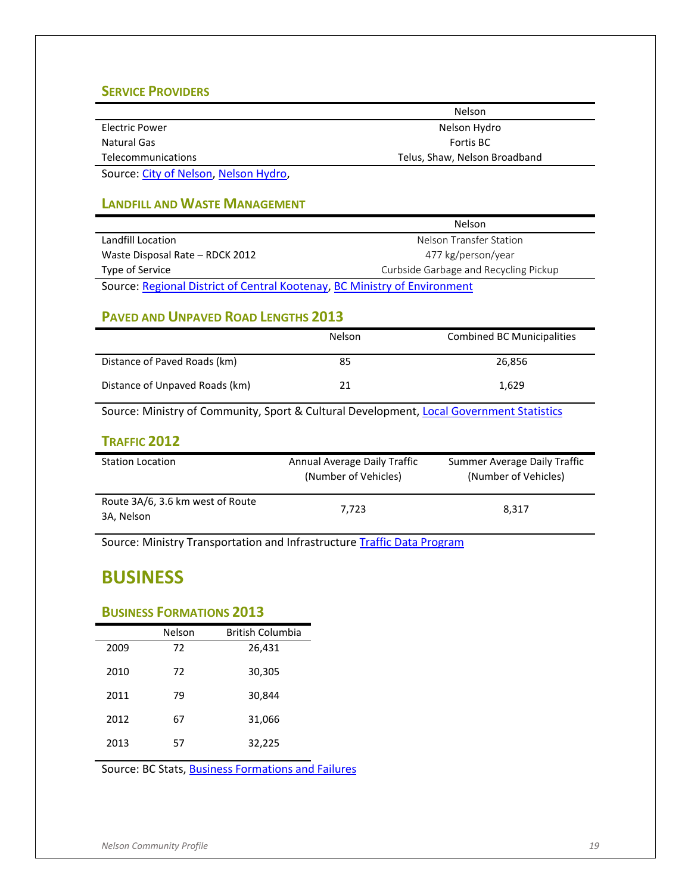#### <span id="page-21-0"></span>**SERVICE PROVIDERS**

|                                                   | <b>Nelson</b>                 |
|---------------------------------------------------|-------------------------------|
| Electric Power                                    | Nelson Hydro                  |
| Natural Gas                                       | Fortis BC                     |
| <b>Telecommunications</b>                         | Telus, Shaw, Nelson Broadband |
| Carrollache Chinese Children and Marketin Hinduis |                               |

Source: [City of Nelson,](http://nelsonbroadband.com/) [Nelson Hydro,](http://www.nelson.ca/EN/main/services/electrical-services.html)

#### <span id="page-21-1"></span>**LANDFILL AND WASTE MANAGEMENT**

|                                                                           | <b>Nelson</b>                         |  |  |
|---------------------------------------------------------------------------|---------------------------------------|--|--|
| Landfill Location                                                         | Nelson Transfer Station               |  |  |
| Waste Disposal Rate - RDCK 2012                                           | 477 kg/person/year                    |  |  |
| Type of Service                                                           | Curbside Garbage and Recycling Pickup |  |  |
| Source: Regional District of Central Kontenay, RC Ministry of Environment |                                       |  |  |

Source: <u>Regional District of Central Kootenay</u>, <u>BC Ministry of Environment</u>

#### <span id="page-21-2"></span>**PAVED AND UNPAVED ROAD LENGTHS 2013**

|                                | <b>Nelson</b> | <b>Combined BC Municipalities</b> |
|--------------------------------|---------------|-----------------------------------|
| Distance of Paved Roads (km)   | 85            | 26.856                            |
| Distance of Unpaved Roads (km) | 21            | 1.629                             |

Source: Ministry of Community, Sport & Cultural Development[, Local Government Statistics](http://www.cscd.gov.bc.ca/lgd/infra/statistics_index.htm)

#### <span id="page-21-3"></span>**TRAFFIC 2012**

| <b>Station Location</b>                        | Annual Average Daily Traffic<br>(Number of Vehicles) | Summer Average Daily Traffic<br>(Number of Vehicles) |
|------------------------------------------------|------------------------------------------------------|------------------------------------------------------|
| Route 3A/6, 3.6 km west of Route<br>3A, Nelson | 7.723                                                | 8.317                                                |

Source: Ministry Transportation and Infrastructur[e Traffic Data Program](https://prdoas3.pub-apps.th.gov.bc.ca/tsg/)

# <span id="page-21-4"></span>**BUSINESS**

#### <span id="page-21-5"></span>**BUSINESS FORMATIONS 2013**

|      | Nelson | British Columbia |
|------|--------|------------------|
| 2009 | 72     | 26,431           |
| 2010 | 72     | 30,305           |
| 2011 | 79     | 30,844           |
| 2012 | 67     | 31,066           |
| 2013 | 57     | 32,225           |

Source: BC Stats, **Business Formations and Failures**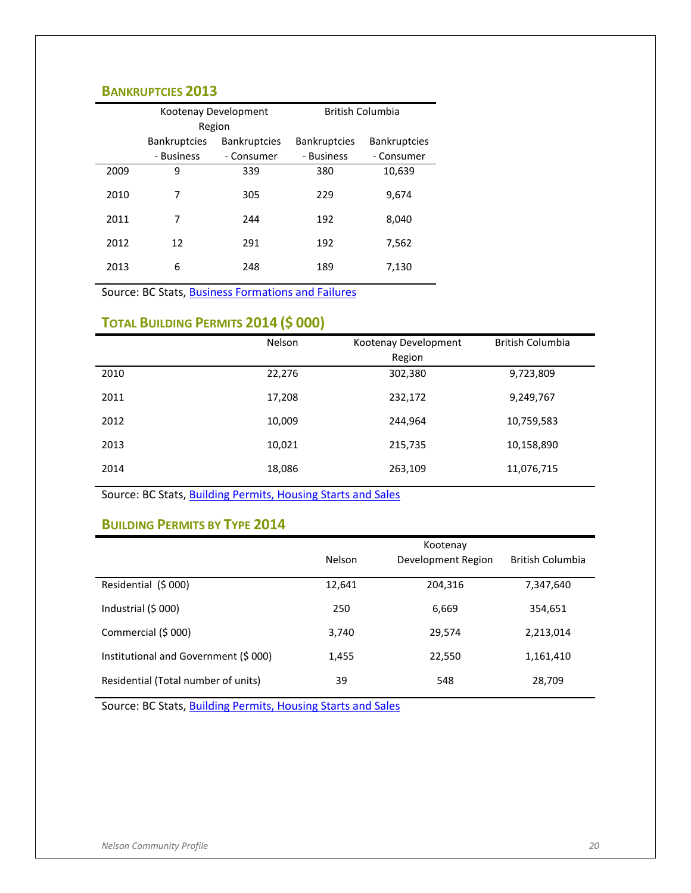#### <span id="page-22-0"></span>**BANKRUPTCIES 2013**

|      | Kootenay Development |                     |                     | <b>British Columbia</b> |
|------|----------------------|---------------------|---------------------|-------------------------|
|      |                      | Region              |                     |                         |
|      | <b>Bankruptcies</b>  | <b>Bankruptcies</b> | <b>Bankruptcies</b> | <b>Bankruptcies</b>     |
|      | - Business           | - Consumer          | - Business          | - Consumer              |
| 2009 | 9                    | 339                 | 380                 | 10,639                  |
| 2010 | 7                    | 305                 | 229                 | 9,674                   |
| 2011 | 7                    | 244                 | 192                 | 8,040                   |
| 2012 | 12                   | 291                 | 192                 | 7,562                   |
| 2013 | 6                    | 248                 | 189                 | 7,130                   |

Source: BC Stats[, Business Formations and Failures](http://www.bcstats.gov.bc.ca/StatisticsBySubject/Economy/BusinessFormationsandFailures.aspx)

## <span id="page-22-1"></span>**TOTAL BUILDING PERMITS 2014 (\$ 000)**

|      | Nelson | Kootenay Development<br>Region | <b>British Columbia</b> |  |
|------|--------|--------------------------------|-------------------------|--|
| 2010 | 22,276 | 302,380                        | 9,723,809               |  |
| 2011 | 17,208 | 232,172                        | 9,249,767               |  |
| 2012 | 10,009 | 244,964                        | 10,759,583              |  |
| 2013 | 10,021 | 215,735                        | 10,158,890              |  |
| 2014 | 18,086 | 263,109                        | 11,076,715              |  |
|      |        |                                |                         |  |

Source: BC Stats[, Building Permits, Housing Starts and Sales](http://www.bcstats.gov.bc.ca/StatisticsBySubject/Economy/BuildingPermitsHousingStartsandSales.aspx)

#### <span id="page-22-2"></span>**BUILDING PERMITS BY TYPE 2014**

|                                       | Kootenay      |                    |                         |  |  |
|---------------------------------------|---------------|--------------------|-------------------------|--|--|
|                                       | <b>Nelson</b> | Development Region | <b>British Columbia</b> |  |  |
| Residential (\$ 000)                  | 12,641        | 204,316            | 7,347,640               |  |  |
| Industrial $(5000)$                   | 250           | 6,669              | 354,651                 |  |  |
| Commercial (\$ 000)                   | 3,740         | 29,574             | 2,213,014               |  |  |
| Institutional and Government (\$ 000) | 1,455         | 22,550             | 1,161,410               |  |  |
| Residential (Total number of units)   | 39            | 548                | 28,709                  |  |  |

Source: BC Stats[, Building Permits, Housing Starts and Sales](http://www.bcstats.gov.bc.ca/StatisticsBySubject/Economy/BuildingPermitsHousingStartsandSales.aspx)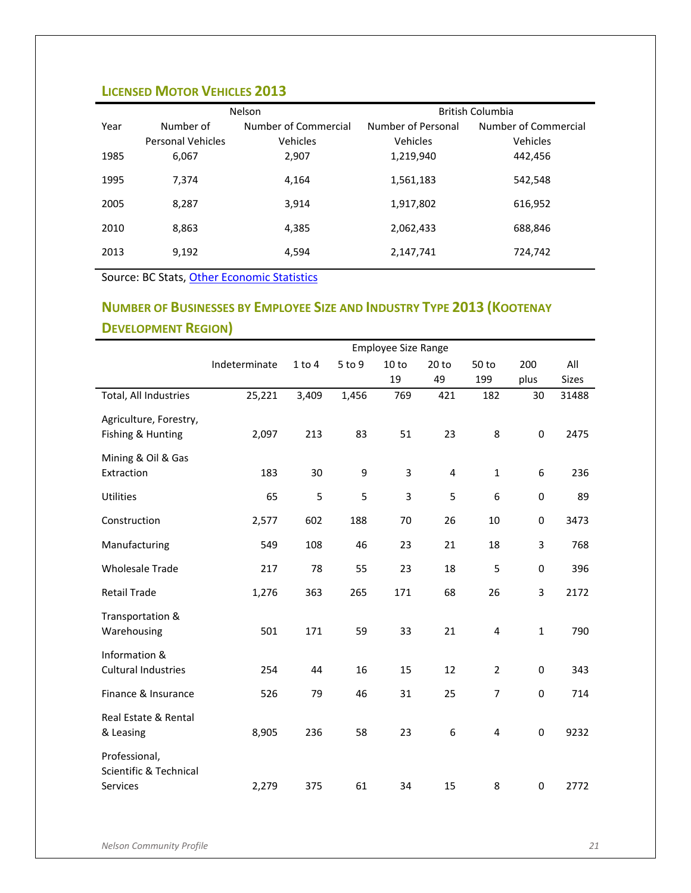## <span id="page-23-0"></span>**LICENSED MOTOR VEHICLES 2013**

|      |                          | Nelson               | <b>British Columbia</b> |                      |  |  |
|------|--------------------------|----------------------|-------------------------|----------------------|--|--|
| Year | Number of                | Number of Commercial | Number of Personal      | Number of Commercial |  |  |
|      | <b>Personal Vehicles</b> | Vehicles             | Vehicles                | Vehicles             |  |  |
| 1985 | 6,067                    | 2,907                | 1,219,940               | 442,456              |  |  |
| 1995 | 7.374                    | 4.164                | 1,561,183               | 542,548              |  |  |
| 2005 | 8.287                    | 3,914                | 1,917,802               | 616,952              |  |  |
| 2010 | 8,863                    | 4,385                | 2,062,433               | 688,846              |  |  |
| 2013 | 9,192                    | 4,594                | 2,147,741               | 724,742              |  |  |
|      |                          |                      |                         |                      |  |  |

Source: BC Stats[, Other Economic Statistics](http://www.bcstats.gov.bc.ca/StatisticsBySubject/Economy/OtherEconomicStatistics.aspx)

## <span id="page-23-1"></span>**NUMBER OF BUSINESSES BY EMPLOYEE SIZE AND INDUSTRY TYPE 2013 (KOOTENAY DEVELOPMENT REGION)**

|                                    | <b>Employee Size Range</b> |            |        |       |                  |                |                  |       |
|------------------------------------|----------------------------|------------|--------|-------|------------------|----------------|------------------|-------|
|                                    | Indeterminate              | $1$ to $4$ | 5 to 9 | 10 to | 20 <sub>to</sub> | 50 to          | 200              | All   |
|                                    |                            |            |        | 19    | 49               | 199            | plus             | Sizes |
| Total, All Industries              | 25,221                     | 3,409      | 1,456  | 769   | 421              | 182            | 30               | 31488 |
| Agriculture, Forestry,             |                            |            |        |       |                  |                |                  |       |
| Fishing & Hunting                  | 2,097                      | 213        | 83     | 51    | 23               | 8              | $\boldsymbol{0}$ | 2475  |
| Mining & Oil & Gas                 |                            |            |        |       |                  |                |                  |       |
| Extraction                         | 183                        | 30         | 9      | 3     | 4                | $\mathbf{1}$   | 6                | 236   |
| <b>Utilities</b>                   | 65                         | 5          | 5      | 3     | 5                | 6              | 0                | 89    |
| Construction                       | 2,577                      | 602        | 188    | 70    | 26               | 10             | 0                | 3473  |
| Manufacturing                      | 549                        | 108        | 46     | 23    | 21               | 18             | 3                | 768   |
| <b>Wholesale Trade</b>             | 217                        | 78         | 55     | 23    | 18               | 5              | 0                | 396   |
| <b>Retail Trade</b>                | 1,276                      | 363        | 265    | 171   | 68               | 26             | $\mathsf 3$      | 2172  |
| Transportation &                   |                            |            |        |       |                  |                |                  |       |
| Warehousing                        | 501                        | 171        | 59     | 33    | 21               | 4              | $\mathbf{1}$     | 790   |
| Information &                      |                            |            |        |       |                  |                |                  |       |
| <b>Cultural Industries</b>         | 254                        | 44         | 16     | 15    | 12               | $\overline{2}$ | $\boldsymbol{0}$ | 343   |
| Finance & Insurance                | 526                        | 79         | 46     | 31    | 25               | $\overline{7}$ | $\mathbf 0$      | 714   |
| Real Estate & Rental               |                            |            |        |       |                  |                |                  |       |
| & Leasing                          | 8,905                      | 236        | 58     | 23    | 6                | 4              | $\boldsymbol{0}$ | 9232  |
| Professional,                      |                            |            |        |       |                  |                |                  |       |
| Scientific & Technical<br>Services | 2,279                      | 375        | 61     | 34    | 15               | 8              | $\boldsymbol{0}$ | 2772  |
|                                    |                            |            |        |       |                  |                |                  |       |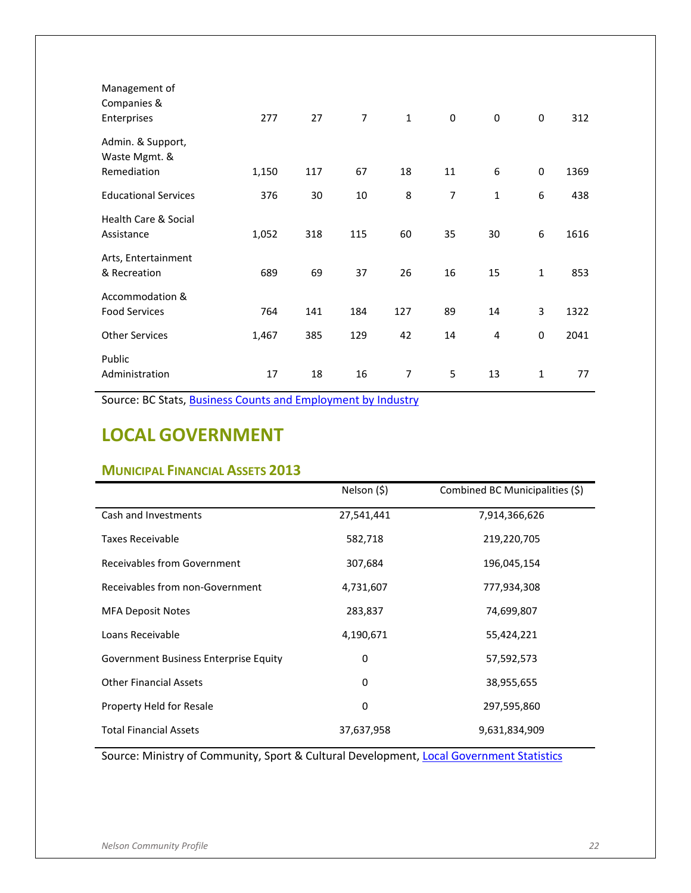| Management of<br>Companies &<br>Enterprises       | 277   | 27  | $\overline{7}$ | $\mathbf{1}$ | $\mathbf 0$    | $\mathbf 0$  | 0           | 312  |
|---------------------------------------------------|-------|-----|----------------|--------------|----------------|--------------|-------------|------|
| Admin. & Support,<br>Waste Mgmt. &<br>Remediation | 1,150 | 117 | 67             | 18           | 11             | 6            | $\mathbf 0$ | 1369 |
| <b>Educational Services</b>                       | 376   | 30  | 10             | 8            | $\overline{7}$ | $\mathbf{1}$ | 6           | 438  |
| <b>Health Care &amp; Social</b><br>Assistance     | 1,052 | 318 | 115            | 60           | 35             | 30           | 6           | 1616 |
| Arts, Entertainment<br>& Recreation               | 689   | 69  | 37             | 26           | 16             | 15           | $\mathbf 1$ | 853  |
| Accommodation &<br><b>Food Services</b>           | 764   | 141 | 184            | 127          | 89             | 14           | 3           | 1322 |
| <b>Other Services</b>                             | 1,467 | 385 | 129            | 42           | 14             | 4            | $\mathbf 0$ | 2041 |
| Public<br>Administration                          | 17    | 18  | 16             | 7            | 5              | 13           | 1           | 77   |

Source: BC Stats[, Business Counts and Employment by Industry](http://www.bcstats.gov.bc.ca/StatisticsBySubject/BusinessIndustry/BusinessCountsEmploymentByIndustry.aspx)

# <span id="page-24-0"></span>**LOCAL GOVERNMENT**

#### <span id="page-24-1"></span>**MUNICIPAL FINANCIAL ASSETS 2013**

|                                       | Nelson (\$) | Combined BC Municipalities (\$) |
|---------------------------------------|-------------|---------------------------------|
| Cash and Investments                  | 27,541,441  | 7,914,366,626                   |
| <b>Taxes Receivable</b>               | 582,718     | 219,220,705                     |
| Receivables from Government           | 307,684     | 196,045,154                     |
| Receivables from non-Government       | 4,731,607   | 777,934,308                     |
| <b>MFA Deposit Notes</b>              | 283,837     | 74,699,807                      |
| Loans Receivable                      | 4,190,671   | 55,424,221                      |
| Government Business Enterprise Equity | 0           | 57,592,573                      |
| <b>Other Financial Assets</b>         | 0           | 38,955,655                      |
| Property Held for Resale              | 0           | 297,595,860                     |
| <b>Total Financial Assets</b>         | 37,637,958  | 9,631,834,909                   |

Source: Ministry of Community, Sport & Cultural Development[, Local Government Statistics](http://www.cscd.gov.bc.ca/lgd/infra/statistics_index.htm)